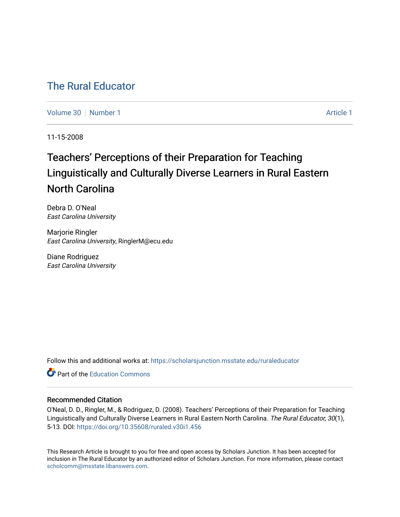# [The Rural Educator](https://scholarsjunction.msstate.edu/ruraleducator)

[Volume 30](https://scholarsjunction.msstate.edu/ruraleducator/vol30) [Number 1](https://scholarsjunction.msstate.edu/ruraleducator/vol30/iss1) [Article 1](https://scholarsjunction.msstate.edu/ruraleducator/vol30/iss1/1) Article 1 Article 1 Article 1 Article 1 Article 1 Article 1

11-15-2008

# Teachers' Perceptions of their Preparation for Teaching Linguistically and Culturally Diverse Learners in Rural Eastern North Carolina

Debra D. O'Neal East Carolina University

Marjorie Ringler East Carolina University, RinglerM@ecu.edu

Diane Rodriguez East Carolina University

Follow this and additional works at: [https://scholarsjunction.msstate.edu/ruraleducator](https://scholarsjunction.msstate.edu/ruraleducator?utm_source=scholarsjunction.msstate.edu%2Fruraleducator%2Fvol30%2Fiss1%2F1&utm_medium=PDF&utm_campaign=PDFCoverPages)

**C** Part of the [Education Commons](http://network.bepress.com/hgg/discipline/784?utm_source=scholarsjunction.msstate.edu%2Fruraleducator%2Fvol30%2Fiss1%2F1&utm_medium=PDF&utm_campaign=PDFCoverPages)

# Recommended Citation

O'Neal, D. D., Ringler, M., & Rodriguez, D. (2008). Teachers' Perceptions of their Preparation for Teaching Linguistically and Culturally Diverse Learners in Rural Eastern North Carolina. The Rural Educator, 30(1), 5-13. DOI: <https://doi.org/10.35608/ruraled.v30i1.456>

This Research Article is brought to you for free and open access by Scholars Junction. It has been accepted for inclusion in The Rural Educator by an authorized editor of Scholars Junction. For more information, please contact [scholcomm@msstate.libanswers.com.](mailto:scholcomm@msstate.libanswers.com)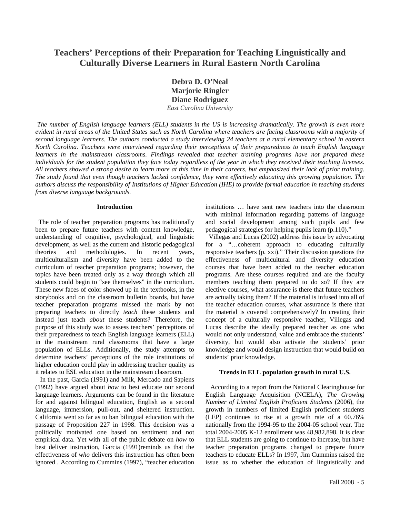# **Teachers' Perceptions of their Preparation for Teaching Linguistically and Culturally Diverse Learners in Rural Eastern North Carolina**

**Debra D. O'Neal Marjorie Ringler Diane Rodriguez** *East Carolina University* 

*The number of English language learners (ELL) students in the US is increasing dramatically. The growth is even more evident in rural areas of the United States such as North Carolina where teachers are facing classrooms with a majority of second language learners. The authors conducted a study interviewing 24 teachers at a rural elementary school in eastern North Carolina. Teachers were interviewed regarding their perceptions of their preparedness to teach English language*  learners in the mainstream classrooms. Findings revealed that teacher training programs have not prepared these *individuals for the student population they face today regardless of the year in which they received their teaching licenses. All teachers showed a strong desire to learn more at this time in their careers, but emphasized their lack of prior training. The study found that even though teachers lacked confidence, they were effectively educating this growing population. The authors discuss the responsibility of Institutions of Higher Education (IHE) to provide formal education in teaching students from diverse language backgrounds.*

#### **Introduction**

 The role of teacher preparation programs has traditionally been to prepare future teachers with content knowledge, understanding of cognitive, psychological, and linguistic development, as well as the current and historic pedagogical theories and methodologies. In recent years, multiculturalism and diversity have been added to the curriculum of teacher preparation programs; however, the topics have been treated only as a way through which all students could begin to "see themselves" in the curriculum. These new faces of color showed up in the textbooks, in the storybooks and on the classroom bulletin boards, but have teacher preparation programs missed the mark by not preparing teachers to directly *teach* these students and instead just teach *about* these students? Therefore, the purpose of this study was to assess teachers' perceptions of their preparedness to teach English language learners (ELL) in the mainstream rural classrooms that have a large population of ELLs. Additionally, the study attempts to determine teachers' perceptions of the role institutions of higher education could play in addressing teacher quality as it relates to ESL education in the mainstream classroom.

 In the past, Garcia (1991) and Milk, Mercado and Sapiens (1992) have argued about *how* to best educate our second language learners. Arguments can be found in the literature for and against bilingual education, English as a second language, immersion, pull-out, and sheltered instruction. California went so far as to ban bilingual education with the passage of Proposition 227 in 1998. This decision was a politically motivated one based on sentiment and not empirical data. Yet with all of the public debate on *how* to best deliver instruction, Garcia (1991)reminds us that the effectiveness of *who* delivers this instruction has often been ignored . According to Cummins (1997), "teacher education

institutions … have sent new teachers into the classroom with minimal information regarding patterns of language and social development among such pupils and few pedagogical strategies for helping pupils learn (p.110)."

 Villegas and Lucas (2002) address this issue by advocating for a "...coherent approach to educating culturally responsive teachers (p. xxi)." Their discussion questions the effectiveness of multicultural and diversity education courses that have been added to the teacher education programs. Are these courses required and are the faculty members teaching them prepared to do so? If they are elective courses, what assurance is there that future teachers are actually taking them? If the material is infused into all of the teacher education courses, what assurance is there that the material is covered comprehensively? In creating their concept of a culturally responsive teacher, Villegas and Lucas describe the ideally prepared teacher as one who would not only understand, value and embrace the students' diversity, but would also activate the students' prior knowledge and would design instruction that would build on students' prior knowledge.

#### **Trends in ELL population growth in rural U.S.**

 According to a report from the National Clearinghouse for English Language Acquisition (NCELA), *The Growing Number of Limited English Proficient Students* (2006), the growth in numbers of limited English proficient students (LEP) continues to rise at a growth rate of a 60.76% nationally from the 1994-95 to the 2004-05 school year. The total 2004-2005 K-12 enrollment was 48,982,898. It is clear that ELL students are going to continue to increase, but have teacher preparation programs changed to prepare future teachers to educate ELLs? In 1997, Jim Cummins raised the issue as to whether the education of linguistically and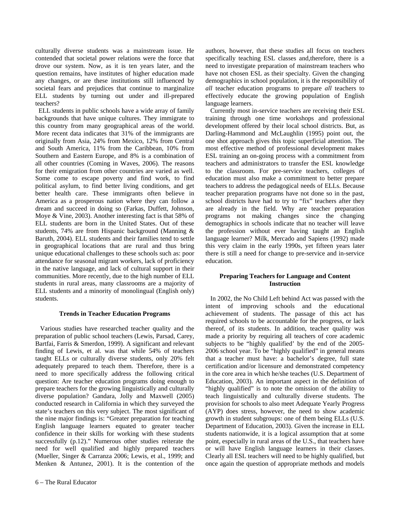culturally diverse students was a mainstream issue. He contended that societal power relations were the force that drove our system. Now, as it is ten years later, and the question remains, have institutes of higher education made any changes, or are these institutions still influenced by societal fears and prejudices that continue to marginalize ELL students by turning out under and ill-prepared teachers?

 ELL students in public schools have a wide array of family backgrounds that have unique cultures. They immigrate to this country from many geographical areas of the world. More recent data indicates that 31% of the immigrants are originally from Asia, 24% from Mexico, 12% from Central and South America, 11% from the Caribbean, 10% from Southern and Eastern Europe, and 8% is a combination of all other countries (Coming in Waves, 2006). The reasons for their emigration from other countries are varied as well. Some come to escape poverty and find work, to find political asylum, to find better living conditions, and get better health care. These immigrants often believe in America as a prosperous nation where they can follow a dream and succeed in doing so (Farkas, Duffett, Johnson, Moye & Vine, 2003). Another interesting fact is that 58% of ELL students are born in the United States. Out of these students, 74% are from Hispanic background (Manning & Baruth, 2004). ELL students and their families tend to settle in geographical locations that are rural and thus bring unique educational challenges to these schools such as: poor attendance for seasonal migrant workers, lack of proficiency in the native language, and lack of cultural support in their communities. More recently, due to the high number of ELL students in rural areas, many classrooms are a majority of ELL students and a minority of monolingual (English only) students.

# **Trends in Teacher Education Programs**

 Various studies have researched teacher quality and the preparation of public school teachers (Lewis, Parsad, Carey, Bartfai, Farris & Smerdon, 1999). A significant and relevant finding of Lewis, et al. was that while 54% of teachers taught ELLs or culturally diverse students, only 20% felt adequately prepared to teach them. Therefore, there is a need to more specifically address the following critical question: Are teacher education programs doing enough to prepare teachers for the growing linguistically and culturally diverse population? Gandara, Jolly and Maxwell (2005) conducted research in California in which they surveyed the state's teachers on this very subject. The most significant of the nine major findings is: "Greater preparation for teaching English language learners equated to greater teacher confidence in their skills for working with these students successfully (p.12)." Numerous other studies reiterate the need for well qualified and highly prepared teachers (Mueller, Singer & Carranza 2006; Lewis, et al., 1999; and Menken & Antunez, 2001). It is the contention of the

authors, however, that these studies all focus on teachers specifically teaching ESL classes and,therefore, there is a need to investigate preparation of mainstream teachers who have not chosen ESL as their specialty. Given the changing demographics in school population, it is the responsibility of *all* teacher education programs to prepare *all* teachers to effectively educate the growing population of English language learners.

 Currently most in-service teachers are receiving their ESL training through one time workshops and professional development offered by their local school districts. But, as Darling-Hammond and McLaughlin (1995) point out, the one shot approach gives this topic superficial attention. The most effective method of professional development makes ESL training an on-going process with a commitment from teachers and administrators to transfer the ESL knowledge to the classroom. For pre-service teachers, colleges of education must also make a commitment to better prepare teachers to address the pedagogical needs of ELLs. Because teacher preparation programs have not done so in the past, school districts have had to try to "fix" teachers after they are already in the field. Why are teacher preparation programs not making changes since the changing demographics in schools indicate that no teacher will leave the profession without ever having taught an English language learner? Milk, Mercado and Sapiens (1992) made this very claim in the early 1990s, yet fifteen years later there is still a need for change to pre-service and in-service education.

# **Preparing Teachers for Language and Content Instruction**

 In 2002, the No Child Left behind Act was passed with the intent of improving schools and the educational achievement of students. The passage of this act has required schools to be accountable for the progress, or lack thereof, of its students. In addition, teacher quality was made a priority by requiring all teachers of core academic subjects to be "highly qualified' by the end of the 2005- 2006 school year. To be "highly qualified" in general means that a teacher must have: a bachelor's degree, full state certification and/or licensure and demonstrated competency in the core area in which he/she teaches (U.S. Department of Education, 2003). An important aspect in the definition of "highly qualified" is to note the omission of the ability to teach linguistically and culturally diverse students. The provision for schools to also meet Adequate Yearly Progress (AYP) does stress, however, the need to show academic growth in student subgroups: one of them being ELLs (U.S. Department of Education, 2003). Given the increase in ELL students nationwide, it is a logical assumption that at some point, especially in rural areas of the U.S., that teachers have or will have English language learners in their classes. Clearly all ESL teachers will need to be highly qualified, but once again the question of appropriate methods and models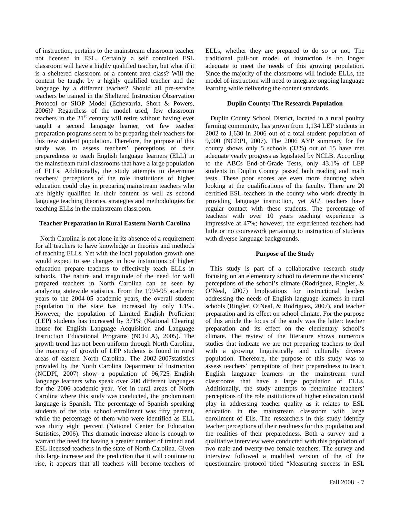of instruction, pertains to the mainstream classroom teacher not licensed in ESL. Certainly a self contained ESL classroom will have a highly qualified teacher, but what if it is a sheltered classroom or a content area class? Will the content be taught by a highly qualified teacher and the language by a different teacher? Should all pre-service teachers be trained in the Sheltered Instruction Observation Protocol or SIOP Model (Echevarria, Short & Powers, 2006)? Regardless of the model used, few classroom teachers in the  $21<sup>st</sup>$  century will retire without having ever taught a second language learner, yet few teacher preparation programs seem to be preparing their teachers for this new student population. Therefore, the purpose of this study was to assess teachers' perceptions of their preparedness to teach English language learners (ELL) in the mainstream rural classrooms that have a large population of ELLs. Additionally, the study attempts to determine teachers' perceptions of the role institutions of higher education could play in preparing mainstream teachers who are highly qualified in their content as well as second language teaching theories, strategies and methodologies for teaching ELLs in the mainstream classroom.

# **Teacher Preparation in Rural Eastern North Carolina**

 North Carolina is not alone in its absence of a requirement for all teachers to have knowledge in theories and methods of teaching ELLs. Yet with the local population growth one would expect to see changes in how institutions of higher education prepare teachers to effectively teach ELLs in schools. The nature and magnitude of the need for well prepared teachers in North Carolina can be seen by analyzing statewide statistics. From the 1994-95 academic years to the 2004-05 academic years, the overall student population in the state has increased by only 1.1%. However, the population of Limited English Proficient (LEP) students has increased by 371% (National Clearing house for English Language Acquisition and Language Instruction Educational Programs (NCELA), 2005). The growth trend has not been uniform through North Carolina, the majority of growth of LEP students is found in rural areas of eastern North Carolina. The 2002-2007statistics provided by the North Carolina Department of Instruction (NCDPI, 2007) show a population of 96,725 English language learners who speak over 200 different languages for the 2006 academic year. Yet in rural areas of North Carolina where this study was conducted, the predominant language is Spanish. The percentage of Spanish speaking students of the total school enrollment was fifty percent, while the percentage of them who were identified as ELL was thirty eight percent (National Center for Education Statistics, 2006). This dramatic increase alone is enough to warrant the need for having a greater number of trained and ESL licensed teachers in the state of North Carolina. Given this large increase and the prediction that it will continue to rise, it appears that all teachers will become teachers of ELLs, whether they are prepared to do so or not. The traditional pull-out model of instruction is no longer adequate to meet the needs of this growing population. Since the majority of the classrooms will include ELLs, the model of instruction will need to integrate ongoing language learning while delivering the content standards.

# **Duplin County: The Research Population**

 Duplin County School District, located in a rural poultry farming community, has grown from 1,134 LEP students in 2002 to 1,630 in 2006 out of a total student population of 9,000 (NCDPI, 2007). The 2006 AYP summary for the county shows only 5 schools (33%) out of 15 have met adequate yearly progress as legislated by NCLB. According to the ABCs End-of-Grade Tests, only 43.1% of LEP students in Duplin County passed both reading and math tests. These poor scores are even more daunting when looking at the qualifications of the faculty. There are 20 certified ESL teachers in the county who work directly in providing language instruction, yet *ALL* teachers have regular contact with these students. The percentage of teachers with over 10 years teaching experience is impressive at 47%; however, the experienced teachers had little or no coursework pertaining to instruction of students with diverse language backgrounds.

# **Purpose of the Study**

 This study is part of a collaborative research study focusing on an elementary school to determine the students' perceptions of the school's climate (Rodriguez, Ringler, & O'Neal, 2007) Implications for instructional leaders addressing the needs of English language learners in rural schools (Ringler, O'Neal, & Rodriguez, 2007), and teacher preparation and its effect on school climate. For the purpose of this article the focus of the study was the latter: teacher preparation and its effect on the elementary school's climate. The review of the literature shows numerous studies that indicate we are not preparing teachers to deal with a growing linguistically and culturally diverse population. Therefore, the purpose of this study was to assess teachers' perceptions of their preparedness to teach English language learners in the mainstream rural classrooms that have a large population of ELLs. Additionally, the study attempts to determine teachers' perceptions of the role institutions of higher education could play in addressing teacher quality as it relates to ESL education in the mainstream classroom with large enrollment of Ells. The researchers in this study identify teacher perceptions of their readiness for this population and the realities of their preparedness. Both a survey and a qualitative interview were conducted with this population of two male and twenty-two female teachers. The survey and interview followed a modified version of the of the questionnaire protocol titled "Measuring success in ESL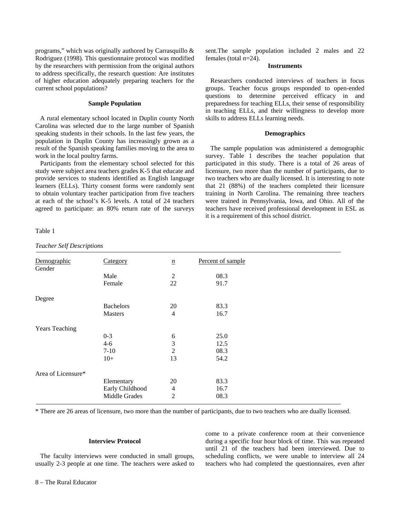programs," which was originally authored by Carrasquillo & Rodriguez (1998). This questionnaire protocol was modified by the researchers with permission from the original authors to address specifically, the research question: Are institutes of higher education adequately preparing teachers for the current school populations?

# **Sample Population**

 A rural elementary school located in Duplin county North Carolina was selected due to the large number of Spanish speaking students in their schools. In the last few years, the population in Duplin County has increasingly grown as a result of the Spanish speaking families moving to the area to work in the local poultry farms.

 Participants from the elementary school selected for this study were subject area teachers grades K-5 that educate and provide services to students identified as English language learners (ELLs). Thirty consent forms were randomly sent to obtain voluntary teacher participation from five teachers at each of the school's K-5 levels. A total of 24 teachers agreed to participate: an 80% return rate of the surveys

#### Table 1

*Teacher Self Descriptions* 

sent.The sample population included 2 males and 22 females (total *n*=24).

# **Instruments**

 Researchers conducted interviews of teachers in focus groups. Teacher focus groups responded to open-ended questions to determine perceived efficacy in and preparedness for teaching ELLs, their sense of responsibility in teaching ELLs, and their willingness to develop more skills to address ELLs learning needs.

#### **Demographics**

 The sample population was administered a demographic survey. Table 1 describes the teacher population that participated in this study. There is a total of 26 areas of licensure, two more than the number of participants, due to two teachers who are dually licensed. It is interesting to note that 21 (88%) of the teachers completed their licensure training in North Carolina. The remaining three teachers were trained in Pennsylvania, Iowa, and Ohio. All of the teachers have received professional development in ESL as it is a requirement of this school district.

| Demographic<br>Gender | Category         | $\underline{n}$          | Percent of sample |  |
|-----------------------|------------------|--------------------------|-------------------|--|
|                       | Male             | 2                        | 08.3              |  |
|                       | Female           | 22                       | 91.7              |  |
| Degree                |                  |                          |                   |  |
|                       | <b>Bachelors</b> | 20                       | 83.3              |  |
|                       | <b>Masters</b>   | $\overline{4}$           | 16.7              |  |
| <b>Years Teaching</b> |                  |                          |                   |  |
|                       | $0 - 3$          | 6                        | 25.0              |  |
|                       | $4 - 6$          | 3                        | 12.5              |  |
|                       | $7 - 10$         | 2                        | 08.3              |  |
|                       | $10+$            | 13                       | 54.2              |  |
| Area of Licensure*    |                  |                          |                   |  |
|                       | Elementary       | 20                       | 83.3              |  |
|                       | Early Childhood  | $\overline{\mathcal{L}}$ | 16.7              |  |
|                       | Middle Grades    | 2                        | 08.3              |  |

\* There are 26 areas of licensure, two more than the number of participants, due to two teachers who are dually licensed.

# **Interview Protocol**

 The faculty interviews were conducted in small groups, usually 2-3 people at one time. The teachers were asked to come to a private conference room at their convenience during a specific four hour block of time. This was repeated until 21 of the teachers had been interviewed. Due to scheduling conflicts, we were unable to interview all 24 teachers who had completed the questionnaires, even after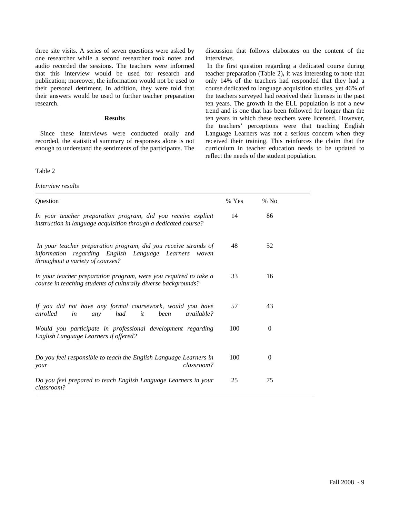three site visits. A series of seven questions were asked by one researcher while a second researcher took notes and audio recorded the sessions. The teachers were informed that this interview would be used for research and publication; moreover, the information would not be used to their personal detriment. In addition, they were told that their answers would be used to further teacher preparation research.

#### **Results**

 Since these interviews were conducted orally and recorded, the statistical summary of responses alone is not enough to understand the sentiments of the participants. The

Table 2

*Interview results* 

discussion that follows elaborates on the content of the interviews.

 In the first question regarding a dedicated course during teacher preparation (Table 2)**,** it was interesting to note that only 14% of the teachers had responded that they had a course dedicated to language acquisition studies, yet 46% of the teachers surveyed had received their licenses in the past ten years. The growth in the ELL population is not a new trend and is one that has been followed for longer than the ten years in which these teachers were licensed. However, the teachers' perceptions were that teaching English Language Learners was not a serious concern when they received their training. This reinforces the claim that the curriculum in teacher education needs to be updated to reflect the needs of the student population.

| <b>Question</b>                                                                                                                                                 | % Yes | $%$ No   |  |
|-----------------------------------------------------------------------------------------------------------------------------------------------------------------|-------|----------|--|
| In your teacher preparation program, did you receive explicit<br>instruction in language acquisition through a dedicated course?                                | 14    | 86       |  |
| In your teacher preparation program, did you receive strands of<br>information regarding English Language Learners<br>woven<br>throughout a variety of courses? | 48    | 52       |  |
| In your teacher preparation program, were you required to take a<br>course in teaching students of culturally diverse backgrounds?                              | 33    | 16       |  |
| If you did not have any formal coursework, would you have<br>enrolled<br>had<br><i>available?</i><br>it<br>been<br>in<br>any                                    | 57    | 43       |  |
| Would you participate in professional development regarding<br>English Language Learners if offered?                                                            | 100   | $\Omega$ |  |
| Do you feel responsible to teach the English Language Learners in<br>classroom?<br>your                                                                         | 100   | $\Omega$ |  |
| Do you feel prepared to teach English Language Learners in your<br>classroom?                                                                                   | 25    | 75       |  |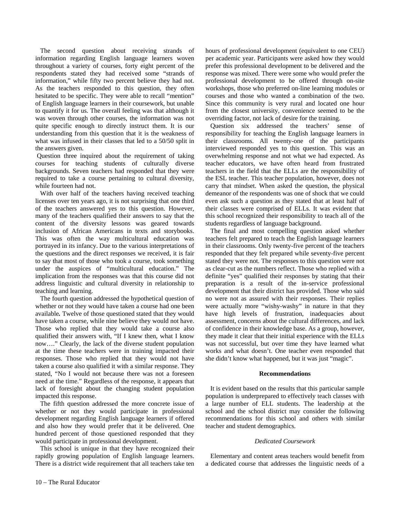The second question about receiving strands of information regarding English language learners woven throughout a variety of courses*,* forty eight percent of the respondents stated they had received some "strands of information," while fifty two percent believe they had not. As the teachers responded to this question, they often hesitated to be specific. They were able to recall "mention" of English language learners in their coursework, but unable to quantify it for us. The overall feeling was that although it was woven through other courses, the information was not quite specific enough to directly instruct them. It is our understanding from this question that it is the weakness of what was infused in their classes that led to a 50/50 split in the answers given.

 Question three inquired about the requirement of taking courses for teaching students of culturally diverse backgrounds. Seven teachers had responded that they were required to take a course pertaining to cultural diversity, while fourteen had not.

 With over half of the teachers having received teaching licenses over ten years ago, it is not surprising that one third of the teachers answered yes to this question. However, many of the teachers qualified their answers to say that the content of the diversity lessons was geared towards inclusion of African Americans in texts and storybooks. This was often the way multicultural education was portrayed in its infancy. Due to the various interpretations of the questions and the direct responses we received, it is fair to say that most of those who took a course, took something under the auspices of "multicultural education." The implication from the responses was that this course did not address linguistic and cultural diversity in relationship to teaching and learning.

 The fourth question addressed the hypothetical question of whether or not they would have taken a course had one been available*.* Twelve of those questioned stated that they would have taken a course, while nine believe they would not have. Those who replied that they would take a course also qualified their answers with, "If I knew then, what I know now…." Clearly, the lack of the diverse student population at the time these teachers were in training impacted their responses. Those who replied that they would not have taken a course also qualified it with a similar response. They stated, "No I would not because there was not a foreseen need at the time." Regardless of the response, it appears that lack of foresight about the changing student population impacted this response.

 The fifth question addressed the more concrete issue of whether or not they would participate in professional development regarding English language learners if offered and also how they would prefer that it be delivered. One hundred percent of those questioned responded that they would participate in professional development.

 This school is unique in that they have recognized their rapidly growing population of English language learners. There is a district wide requirement that all teachers take ten

hours of professional development (equivalent to one CEU) per academic year. Participants were asked how they would prefer this professional development to be delivered and the response was mixed. There were some who would prefer the professional development to be offered through on-site workshops, those who preferred on-line learning modules or courses and those who wanted a combination of the two. Since this community is very rural and located one hour from the closest university, convenience seemed to be the overriding factor, not lack of desire for the training.

 Question six addressed the teachers' sense of responsibility for teaching the English language learners in their classrooms. All twenty-one of the participants interviewed responded yes to this question. This was an overwhelming response and not what we had expected. As teacher educators, we have often heard from frustrated teachers in the field that the ELLs are the responsibility of the ESL teacher. This teacher population, however, does not carry that mindset. When asked the question, the physical demeanor of the respondents was one of shock that we could even ask such a question as they stated that at least half of their classes were comprised of ELLs. It was evident that this school recognized their responsibility to teach all of the students regardless of language background.

 The final and most compelling question asked whether teachers felt prepared to teach the English language learners in their classrooms. Only twenty-five percent of the teachers responded that they felt prepared while seventy-five percent stated they were not. The responses to this question were not as clear-cut as the numbers reflect. Those who replied with a definite "yes" qualified their responses by stating that their preparation is a result of the in-service professional development that their district has provided. Those who said no were not as assured with their responses. Their replies were actually more "wishy-washy" in nature in that they have high levels of frustration, inadequacies about assessment, concerns about the cultural differences, and lack of confidence in their knowledge base. As a group, however, they made it clear that their initial experience with the ELLs was not successful, but over time they have learned what works and what doesn't. One teacher even responded that she didn't know what happened, but it was just "magic".

# **Recommendations**

 It is evident based on the results that this particular sample population is underprepared to effectively teach classes with a large number of ELL students. The leadership at the school and the school district may consider the following recommendations for this school and others with similar teacher and student demographics.

# *Dedicated Coursework*

 Elementary and content areas teachers would benefit from a dedicated course that addresses the linguistic needs of a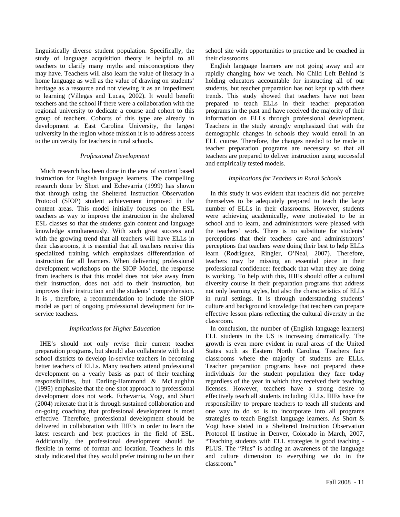linguistically diverse student population. Specifically, the study of language acquisition theory is helpful to all teachers to clarify many myths and misconceptions they may have. Teachers will also learn the value of literacy in a home language as well as the value of drawing on students' heritage as a resource and not viewing it as an impediment to learning (Villegas and Lucas, 2002). It would benefit teachers and the school if there were a collaboration with the regional university to dedicate a course and cohort to this group of teachers. Cohorts of this type are already in development at East Carolina University, the largest university in the region whose mission it is to address access to the university for teachers in rural schools.

#### *Professional Development*

 Much research has been done in the area of content based instruction for English language learners. The compelling research done by Short and Echevarria (1999) has shown that through using the Sheltered Instruction Observation Protocol (SIOP) student achievement improved in the content areas. This model initially focuses on the ESL teachers as way to improve the instruction in the sheltered ESL classes so that the students gain content and language knowledge simultaneously. With such great success and with the growing trend that all teachers will have ELLs in their classrooms, it is essential that all teachers receive this specialized training which emphasizes differentiation of instruction for all learners. When delivering professional development workshops on the SIOP Model, the response from teachers is that this model does not take away from their instruction, does not add to their instruction, but improves their instruction and the students' comprehension. It is , therefore, a recommendation to include the SIOP model as part of ongoing professional development for inservice teachers.

# *Implications for Higher Education*

 IHE's should not only revise their current teacher preparation programs, but should also collaborate with local school districts to develop in-service teachers in becoming better teachers of ELLs. Many teachers attend professional development on a yearly basis as part of their teaching responsibilities, but Darling-Hammond & McLaughlin (1995) emphasize that the one shot approach to professional development does not work. Echevarria, Vogt, and Short (2004) reiterate that it is through sustained collaboration and on-going coaching that professional development is most effective. Therefore, professional development should be delivered in collaboration with IHE's in order to learn the latest research and best practices in the field of ESL. Additionally, the professional development should be flexible in terms of format and location. Teachers in this study indicated that they would prefer training to be on their school site with opportunities to practice and be coached in their classrooms.

 English language learners are not going away and are rapidly changing how we teach. No Child Left Behind is holding educators accountable for instructing all of our students, but teacher preparation has not kept up with these trends. This study showed that teachers have not been prepared to teach ELLs in their teacher preparation programs in the past and have received the majority of their information on ELLs through professional development. Teachers in the study strongly emphasized that with the demographic changes in schools they would enroll in an ELL course. Therefore, the changes needed to be made in teacher preparation programs are necessary so that all teachers are prepared to deliver instruction using successful and empirically tested models.

#### *Implications for Teachers in Rural Schools*

 In this study it was evident that teachers did not perceive themselves to be adequately prepared to teach the large number of ELLs in their classrooms. However, students were achieving academically, were motivated to be in school and to learn, and administrators were pleased with the teachers' work. There is no substitute for students' perceptions that their teachers care and administrators' perceptions that teachers were doing their best to help ELLs learn (Rodriguez, Ringler, O'Neal, 2007). Therefore, teachers may be missing an essential piece in their professional confidence: feedback that what they are doing is working. To help with this, IHEs should offer a cultural diversity course in their preparation programs that address not only learning styles, but also the characteristics of ELLs in rural settings. It is through understanding students' culture and background knowledge that teachers can prepare effective lesson plans reflecting the cultural diversity in the classroom.

 In conclusion, the number of (English language learners) ELL students in the US is increasing dramatically. The growth is even more evident in rural areas of the United States such as Eastern North Carolina. Teachers face classrooms where the majority of students are ELLs. Teacher preparation programs have not prepared these individuals for the student population they face today regardless of the year in which they received their teaching licenses. However, teachers have a strong desire to effectively teach all students including ELLs. IHEs have the responsibility to prepare teachers to teach all students and one way to do so is to incorporate into all programs strategies to teach English language learners. As Short & Vogt have stated in a Sheltered Instruction Observation Protocol II institue in Denver, Colorado in March, 2007, "Teaching students with ELL strategies is good teaching - PLUS. The "Plus" is adding an awareness of the language and culture dimension to everything we do in the classroom."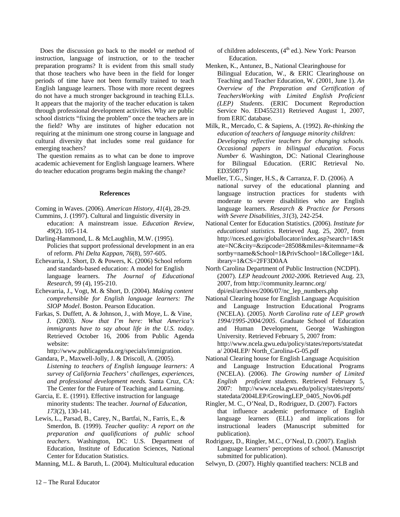Does the discussion go back to the model or method of instruction, language of instruction, or to the teacher preparation programs? It is evident from this small study that those teachers who have been in the field for longer periods of time have not been formally trained to teach English language learners. Those with more recent degrees do not have a much stronger background in teaching ELLs. It appears that the majority of the teacher education is taken through professional development activities. Why are public school districts "fixing the problem" once the teachers are in the field? Why are institutes of higher education not requiring at the minimum one strong course in language and cultural diversity that includes some real guidance for emerging teachers?

 The question remains as to what can be done to improve academic achievement for English language learners. Where do teacher education programs begin making the change?

### **References**

Coming in Waves. (2006). *American History, 41*(4), 28-29.

- Cummins, J. (1997). Cultural and linguistic diversity in education: A mainstream issue. *Education Review, 49*(2). 105-114.
- Darling-Hammond, L. & McLaughlin, M.W. (1995). Policies that support professional development in an era of reform. *Phi Delta Kappan, 76*(8), 597-605.
- Echevarria, J. Short, D. & Powers, K. (2006) School reform and standards-based education: A model for English language learners. *The Journal of Educational Research,* 99 (4), 195-210.
- Echevarria, J., Vogt, M. & Short, D. (2004). *Making content comprehensible for English language learners: The SIOP Model*. Boston. Pearson Education.
- Farkas, S. Duffett, A. & Johnson, J., with Moye, L. & Vine, J. (2003). *Now that I'm here: What America's immigrants have to say about life in the U.S. today.* Retrieved October 16, 2006 from Public Agenda website:

http://www.publicagenda.org/specials/immigration.

- Gandara, P., Maxwell-Jolly, J. & Driscoll, A. (2005). *Listening to teachers of English language learners: A survey of California Teachers' challenges, experiences, and professional development needs.* Santa Cruz, CA: The Center for the Future of Teaching and Learning.
- Garcia, E. E. (1991). Effective instruction for language minority students: The teacher. *Journal of Education, 173*(2), 130-141.
- Lewis, L., Parsad, B., Carey, N., Bartfai, N., Farris, E., & Smerdon, B. (1999). *Teacher quality: A report on the preparation and qualifications of public school teachers*. Washington, DC: U.S. Department of Education, Institute of Education Sciences, National Center for Education Statistics.

Manning, M.L. & Baruth, L. (2004). Multicultural education

of children adolescents, (4<sup>th</sup> ed.). New York: Pearson Education.

- Menken, K., Antunez, B., National Clearinghouse for Bilingual Education, W., & ERIC Clearinghouse on Teaching and Teacher Education, W. (2001, June 1). *An Overview of the Preparation and Certification of TeachersWorking with Limited English Proficient (LEP) Students*. (ERIC Document Reproduction Service No. ED455231) Retrieved August 1, 2007, from ERIC database.
- Milk, R., Mercado, C. & Sapiens, A. (1992). *Re-thinking the education of teachers of language minority children: Developing reflective teachers for changing schools. Occasional papers in bilingual education. Focus Number 6.* Washington, DC: National Clearinghouse for Bilingual Education. (ERIC Retrieval No. ED350877)
- Mueller, T.G., Singer, H.S., & Carranza, F. D. (2006). A national survey of the educational planning and language instruction practices for students with moderate to severe disabilities who are English language learners. *Research & Practice for Persons with Severe Disabilities, 31*(3), 242-254.
- National Center for Education Statistics. (2006). *Institute for educational statistics.* Retrieved Aug. 25, 2007, from http://nces.ed.gov/globallocator/index.asp?search=1&St ate=NC&city=&zipcode=28508&miles=&itemname=& sortby=name&School=1&PrivSchool=1&College=1&L ibrary=1&CS=2FF3D0AA
- North Carolina Department of Public Instruction (NCDPI). (2007). *LEP headcount 2002-2006.* Retrieved Aug. 23, 2007, from http://community.learnnc.org/ dpi/esl/archives/2006/07/nc\_lep\_numbers.php
- National Clearing house for English Language Acquisition and Language Instruction Educational Programs (NCELA). (2005). *North Carolina rate of LEP growth 1994/1995-2004/2005*. Graduate School of Education and Human Development, George Washington University. Retrieved February 5, 2007 from: http://www.ncela.gwu.edu/policy/states/reports/statedat a/ 2004LEP/ North\_Carolina-G-05.pdf
- National Clearing house for English Language Acquisition and Language Instruction Educational Programs (NCELA). (2006). *The Growing number of Limited English proficient students*. Retrieved February 5, 2007: http://www.ncela.gwu.edu/policy/states/reports/ statedata/2004LEP/GrowingLEP\_0405\_Nov06.pdf
- Ringler, M. C., O'Neal, D., Rodriguez, D. (2007). Factors that influence academic performance of English language learners (ELL) and implications for instructional leaders (Manuscript submitted for publication).
- Rodriguez, D., Ringler, M.C., O'Neal, D. (2007). English Language Learners' perceptions of school. (Manuscript submitted for publication).
- Selwyn, D. (2007). Highly quantified teachers: NCLB and